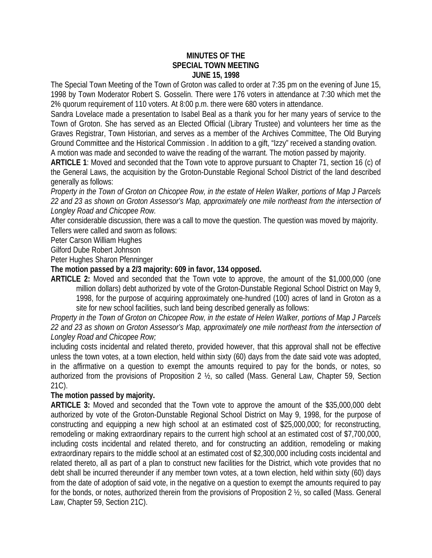## **MINUTES OF THE SPECIAL TOWN MEETING JUNE 15, 1998**

The Special Town Meeting of the Town of Groton was called to order at 7:35 pm on the evening of June 15, 1998 by Town Moderator Robert S. Gosselin. There were 176 voters in attendance at 7:30 which met the 2% quorum requirement of 110 voters. At 8:00 p.m. there were 680 voters in attendance.

Sandra Lovelace made a presentation to Isabel Beal as a thank you for her many years of service to the Town of Groton. She has served as an Elected Official (Library Trustee) and volunteers her time as the Graves Registrar, Town Historian, and serves as a member of the Archives Committee, The Old Burying Ground Committee and the Historical Commission . In addition to a gift, "Izzy" received a standing ovation. A motion was made and seconded to waive the reading of the warrant. The motion passed by majority.

**ARTICLE 1**: Moved and seconded that the Town vote to approve pursuant to Chapter 71, section 16 (c) of the General Laws, the acquisition by the Groton-Dunstable Regional School District of the land described generally as follows:

*Property in the Town of Groton on Chicopee Row, in the estate of Helen Walker, portions of Map J Parcels 22 and 23 as shown on Groton Assessor's Map, approximately one mile northeast from the intersection of Longley Road and Chicopee Row.*

After considerable discussion, there was a call to move the question. The question was moved by majority. Tellers were called and sworn as follows:

Peter Carson William Hughes

Gilford Dube Robert Johnson

Peter Hughes Sharon Pfenninger

## **The motion passed by a 2/3 majority: 609 in favor, 134 opposed.**

**ARTICLE 2:** Moved and seconded that the Town vote to approve, the amount of the \$1,000,000 (one million dollars) debt authorized by vote of the Groton-Dunstable Regional School District on May 9, 1998, for the purpose of acquiring approximately one-hundred (100) acres of land in Groton as a site for new school facilities, such land being described generally as follows:

*Property in the Town of Groton on Chicopee Row, in the estate of Helen Walker, portions of Map J Parcels 22 and 23 as shown on Groton Assessor's Map, approximately one mile northeast from the intersection of Longley Road and Chicopee Row;*

including costs incidental and related thereto, provided however, that this approval shall not be effective unless the town votes, at a town election, held within sixty (60) days from the date said vote was adopted, in the affirmative on a question to exempt the amounts required to pay for the bonds, or notes, so authorized from the provisions of Proposition 2 ½, so called (Mass. General Law, Chapter 59, Section 21C).

## **The motion passed by majority.**

**ARTICLE 3:** Moved and seconded that the Town vote to approve the amount of the \$35,000,000 debt authorized by vote of the Groton-Dunstable Regional School District on May 9, 1998, for the purpose of constructing and equipping a new high school at an estimated cost of \$25,000,000; for reconstructing, remodeling or making extraordinary repairs to the current high school at an estimated cost of \$7,700,000, including costs incidental and related thereto, and for constructing an addition, remodeling or making extraordinary repairs to the middle school at an estimated cost of \$2,300,000 including costs incidental and related thereto, all as part of a plan to construct new facilities for the District, which vote provides that no debt shall be incurred thereunder if any member town votes, at a town election, held within sixty (60) days from the date of adoption of said vote, in the negative on a question to exempt the amounts required to pay for the bonds, or notes, authorized therein from the provisions of Proposition 2 ½, so called (Mass. General Law, Chapter 59, Section 21C).